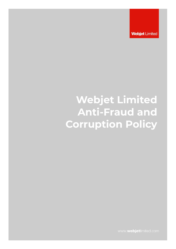**Webjet Limited** 

# **Webjet Limited Anti-Fraud and Corruption Policy**

www.webjetlimited.com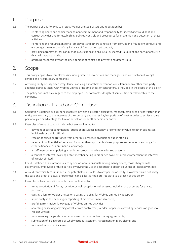### 1. Purpose

- 1.1 The purpose of this Policy is to protect Webjet Limited's assets and reputation by:
	- reinforcing Board and senior management commitment and responsibility for identifying fraudulent and corrupt activities and for establishing policies, controls and procedures for prevention and detection of these activities;
	- reinforcing the requirement for all employees and others to refrain from corrupt and fraudulent conduct and encourage the reporting of any instance of fraud or corrupt conduct;
	- providing a framework for conduct of investigations to ensure all suspected fraudulent and corrupt activity is dealt with appropriately;
	- assigning responsibility for the development of controls to prevent and detect fraud.

## 2. Scope

- 2.1 This policy applies to all employees (including directors, executives and managers) and contractors of Webjet Limited and its subsidiary companies.
- 2.2 Any irregularity or suspected irregularity, involving a shareholder, vendor, consultants or any other third party agencies doing business with Webjet Limited or its employees or contractors, is included in the scope of this policy.
- 2.3 The policy does not have regard to the employees' or contractors length of service, title or relationship to the company.

### 3. Definition of Fraud and Corruption

- 3.1 Corruption is defined as a dishonest activity in which a director, executive, manager, employee or contractor of an entity acts contrary to the interests of the company and abuses his/her position of trust in order to achieve some personal gain or advantage for him or herself or for another person or entity.
- 3.2 Examples of corrupt conduct include but are not limited to:
	- payment of secret commissions (bribes or gratuities) in money, or some other value, to other businesses, individuals or public officials;
	- receipt of bribes or gratuities from other businesses, individuals or public officials;
	- release of confidential information, for other than a proper business purpose, sometimes in exchange for either a financial or non-financial advantage;
	- a staff member manipulating a tendering process to achieve a desired outcome;
	- a conflict of interest involving a staff member acting in his or her own self-interest rather than the interests of Webjet Limited.
- 3.3 Fraud is defined as an intentional act by one or more individuals among management, those charged with governance, employees or third parties, involving the use of deception to obtain an unjust or illegal advantage.
- 3.4 A fraud can typically result in actual or potential financial loss to any person or entity. However, this is not always the case and proof of actual or potential financial loss is not a pre-requisite to a breach of this policy.
- 3.5 Examples of fraud could include, but are not limited to:
	- misappropriation of funds, securities, stock, supplies or other assets including use of assets for private purposes;
	- causing a loss to Webjet Limited or creating a liability for Webjet Limited by deception;
	- impropriety in the handling or reporting of money or financial records;
	- profiting from insider knowledge of Webjet Limited activities;
	- accepting or seeking anything of value from contractors, vendors or persons providing services or goods to Webjet Limited;
	- false invoicing for goods or services never rendered or backdating agreements;
	- submission of exaggerated or wholly fictitious accident, harassment or injury claims; and
	- misuse of sick or family leave.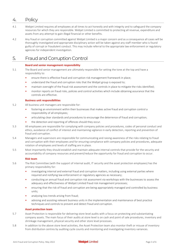## 4. Policy

- 4.1 Webjet Limited requires all employees at all times to act honestly and with integrity and to safeguard the company resources for which they are responsible. Webjet Limited is committed to protecting all revenue, expenditure and assets from any attempt to gain illegal financial or other benefits.
- 4.2 Any fraud or corruption committed against Webjet Limited is a major concern and as a consequence all cases will be thoroughly investigated and appropriate disciplinary action will be taken against any staff member who is found guilty of corrupt or fraudulent conduct. This may include referral to the appropriate law enforcement or regulatory agencies for independent investigation.

## 5. Fraud and Corruption Control

### **Board and senior management responsibility**

- 5.1 The Board and senior management are ultimately responsible for setting the tone at the top and have a responsibility to:
	- ensure there is effective fraud and corruption risk management framework in place;
	- understand the fraud and corruption risks that the Webjet group is exposed to;
	- maintain oversight of the fraud risk assessment and the controls in place to mitigate the risks identified;
	- monitor reports on fraud risks, policies and control activities which include obtaining assurance that the controls are effective.

### **Business unit responsibilities**

- 5.2 All business unit managers are responsible for:
	- fostering an environment within their businesses that makes active fraud and corruption control a responsibility of all employees;
	- articulating clear standards and procedures to encourage the deterrence of fraud and corruption;
	- the detection and reporting of offences should they occur.
- 5.3 All employees are responsible for complying with company policies and procedures, codes of personal conduct and ethics, avoidance of conflict of interest and maintaining vigilance in early detection, reporting and prevention of fraud and corruption.
- 5.4 Managers and supervisors are responsible for communicating and raising awareness of the risks relating to fraud and corruption with their employees and for ensuring compliance with company policies and procedures, adequate rotation of employees and levels of staffing are in place.
- 5.5 Most importantly they should establish and maintain adequate internal controls that provide for the security and accountability of company resources and prevent/reduce the opportunity for fraud and corruption to occur.

### **Risk team**

- 5.6 The Risk Committee (with the support of internal audit, IT security and the asset protection employees) has the primary responsibility for:
	- investigating internal and external fraud and corruption matters, including using external parties where required and notifying law enforcement or regulatory agencies as necessary;
	- conducting an annual fraud and corruption risk assessment via workshops with the businesses to assess the adequacy and effectiveness of Webiet Limited fraud risk management processes;
	- ensuring that the risk of fraud and corruption are being appropriately managed and controlled by business units;
	- analysing loss trends arising from fraud;
	- advising and assisting relevant business units in the implementation and maintenance of best practice techniques and controls to prevent and detect fraud and corruption.

### **Asset protection team**

- 5.7 Asset Protection is responsible for delivering store level audits with a focus on protecting and substantiating company assets. The main focus of their audits at store level is on cash and point of sale procedures, inventory and shrinkage management, physical security and other store level processes.
- 5.8 In addition to the above store level activities, the Asset Protection team also monitor theft or misuse of inventory from distribution centres by auditing cycle counts and monitoring and investigating inventory variances.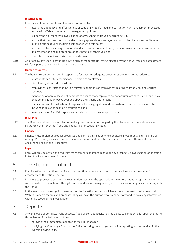#### **Internal audit**

- 5.9 Internal audit, as part of its audit activity is required to:
	- assess the adequacy and effectiveness of Webjet Limited's fraud and corruption risk management processes, in line with Webjet Limited's risk management policies;
	- support the risk team with investigation of any suspected fraud or corrupt activity;
	- ensure that fraud and corruption risk is being appropriately managed and controlled by business units when auditing business units including compliance with this policy;
	- analyse loss trends arising from fraud and advise/assist relevant units, process owners and employees in the implementation and maintenance of best practice techniques; and
	- controls to prevent and detect fraud and corruption.
- 5.10 Additionally, any specific fraud risks (with high or moderate risk rating) flagged by the annual fraud risk assessment will form part of the annual internal audit program.

#### **Human resources**

- 5.11 The human resources function is responsible for ensuring adequate procedures are in place that address:
	- appropriate security screening and selection of employees;
	- disciplinary / dismissal procedures;
	- employment contracts that include relevant conditions of employment relating to fraudulent and corrupt conduct;
	- monitoring of annual leave entitlements to ensure that employees do not accumulate excessive annual leave entitlements ie four weeks over and above their yearly entitlement;
	- clarification and formalisation of responsibilities / segregation of duties (where possible, these should be included in relevant position descriptions); and
	- investigation of 'Fair Call' reports and escalation of matters as appropriate.

#### **Insurance**

5.12 The Risk Committee is responsible for making recommendations regarding the placement and maintenance of insurance cover for crime, fraud and fidelity risk for Webjet Limited.

#### **Finance**

5.13 Finance must implement robust processes and controls in relation to expenditure, investments and transfers of money. Provisions, losses and write offs in relation to fraud must be made in accordance with Webjet Limited's Accounting Policies and Procedures.

### **Legal**

5.14 Legal will provide advice and requisite management assistance regarding any prospective investigation or litigation linked to a fraud or corruption event.

### 6. Investigation Protocols

- 6.1 If an investigation identifies that fraud or corruption has occurred, the risk team will escalate the matter in accordance with section 7 below.
- 6.2 Decisions to prosecute or refer the examination results to the appropriate law enforcement or regulatory agency will be made in conjunction with legal counsel and senior management, and in the case of a significant matter, with the Board.
- 6.3 In the event of an investigation, members of the investigating team will have free and unrestricted access to all Webjet Limited's records and premises. They will have the authority to examine, copy and remove any information within the scope of the investigation.

### 7. Reporting

- 7.1 Any employee or contractor who suspects fraud or corrupt activity has the ability to confidentially report the matter through one of the following options:
	- notifying their immediate manager or their HR manager;
	- notifying the Company's Compliance Officer or using the anonymous online reporting tool as detailed in the Whistleblowing Policy;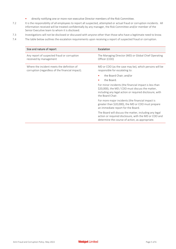- directly notifying one or more non-executive Director members of the Risk Committee.
- 7.2 It is the responsibility of all employees to report all suspected, attempted or actual fraud or corruption incidents. All information received will be treated confidentially by any manager, the Risk Committee and/or member of the Senior Executive team to whom it is disclosed.
- 7.3 Investigations will not be disclosed or discussed with anyone other than those who have a legitimate need to know.
- 7.4 The table below outlines the escalation requirements upon receiving a report of suspected fraud or corruption.

| Size and nature of report                                                                      | Escalation                                                                                                                                                                                |
|------------------------------------------------------------------------------------------------|-------------------------------------------------------------------------------------------------------------------------------------------------------------------------------------------|
| Any report of suspected fraud or corruption<br>received by management                          | The Managing Director (MD) or Global Chief Operating<br>Officer (COO)                                                                                                                     |
| Where the incident meets the definition of<br>corruption (regardless of the financial impact). | MD or COO (as the case may be), which persons will be<br>responsible for escalating to:                                                                                                   |
|                                                                                                | the Board Chair; and/or                                                                                                                                                                   |
|                                                                                                | the Board.                                                                                                                                                                                |
|                                                                                                | For minor incidents (the financial impact is less than<br>\$20,000), the MD / COO must discuss the matter,<br>including any legal action or required disclosure, with<br>the Board Chair. |
|                                                                                                | For more major incidents (the financial impact is<br>greater than \$20,000), the MD or COO must prepare<br>an immediate report for the Board.                                             |
|                                                                                                | The Board will discuss the matter, including any legal<br>action or required disclosure, with the MD or COO and<br>determine the course of action, as appropriate.                        |